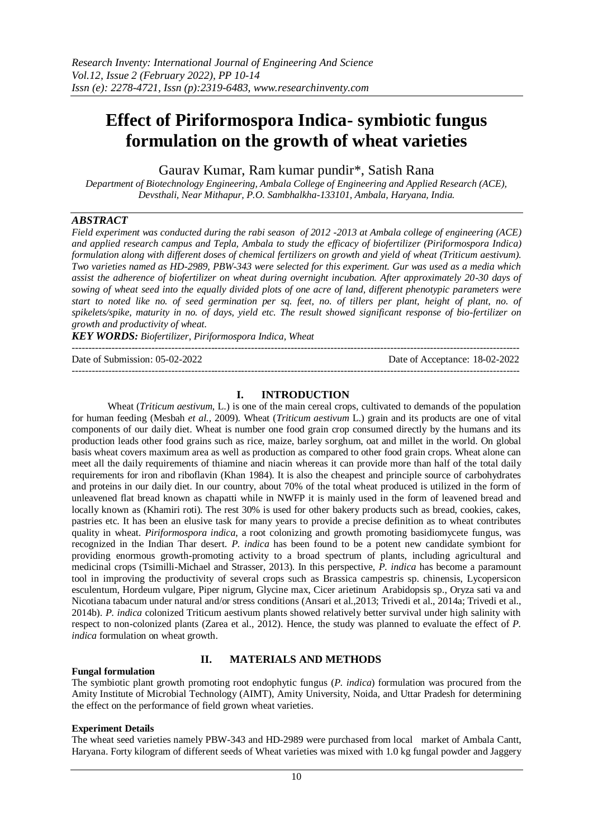# **Effect of Piriformospora Indica- symbiotic fungus formulation on the growth of wheat varieties**

Gaurav Kumar, Ram kumar pundir\*, Satish Rana

*Department of Biotechnology Engineering, Ambala College of Engineering and Applied Research (ACE), Devsthali, Near Mithapur, P.O. Sambhalkha-133101, Ambala, Haryana, India.*

# *ABSTRACT*

*Field experiment was conducted during the rabi season of 2012 -2013 at Ambala college of engineering (ACE) and applied research campus and Tepla, Ambala to study the efficacy of biofertilizer (Piriformospora Indica) formulation along with different doses of chemical fertilizers on growth and yield of wheat (Triticum aestivum). Two varieties named as HD-2989, PBW-343 were selected for this experiment. Gur was used as a media which assist the adherence of biofertilizer on wheat during overnight incubation. After approximately 20-30 days of sowing of wheat seed into the equally divided plots of one acre of land, different phenotypic parameters were start to noted like no. of seed germination per sq. feet, no. of tillers per plant, height of plant, no. of spikelets/spike, maturity in no. of days, yield etc. The result showed significant response of bio-fertilizer on growth and productivity of wheat.* 

*KEY WORDS: Biofertilizer, Piriformospora Indica, Wheat* 

---------------------------------------------------------------------------------------------------------------------------------------

Date of Submission: 05-02-2022 Date of Acceptance: 18-02-2022 ---------------------------------------------------------------------------------------------------------------------------------------

# **I. INTRODUCTION**

Wheat (*Triticum aestivum*, L.) is one of the main cereal crops, cultivated to demands of the population for human feeding (Mesbah *et al.,* 2009). Wheat (*Triticum aestivum* L.) grain and its products are one of vital components of our daily diet. Wheat is number one food grain crop consumed directly by the humans and its production leads other food grains such as rice, maize, barley sorghum, oat and millet in the world. On global basis wheat covers maximum area as well as production as compared to other food grain crops. Wheat alone can meet all the daily requirements of thiamine and niacin whereas it can provide more than half of the total daily requirements for iron and riboflavin (Khan 1984). It is also the cheapest and principle source of carbohydrates and proteins in our daily diet. In our country, about 70% of the total wheat produced is utilized in the form of unleavened flat bread known as chapatti while in NWFP it is mainly used in the form of leavened bread and locally known as (Khamiri roti). The rest 30% is used for other bakery products such as bread, cookies, cakes, pastries etc. It has been an elusive task for many years to provide a precise definition as to wheat contributes quality in wheat. *Piriformospora indica*, a root colonizing and growth promoting basidiomycete fungus, was recognized in the Indian Thar desert. *P. indica* has been found to be a potent new candidate symbiont for providing enormous growth-promoting activity to a broad spectrum of plants, including agricultural and medicinal crops (Tsimilli-Michael and Strasser, 2013). In this perspective, *P. indica* has become a paramount tool in improving the productivity of several crops such as Brassica campestris sp. chinensis, Lycopersicon esculentum, Hordeum vulgare, Piper nigrum, Glycine max, Cicer arietinum Arabidopsis sp., Oryza sati va and Nicotiana tabacum under natural and/or stress conditions (Ansari et al.,2013; Trivedi et al., 2014a; Trivedi et al., 2014b). *P. indica* colonized Triticum aestivum plants showed relatively better survival under high salinity with respect to non-colonized plants (Zarea et al.*,* 2012). Hence, the study was planned to evaluate the effect of *P. indica* formulation on wheat growth.

# **II. MATERIALS AND METHODS**

## **Fungal formulation**

The symbiotic plant growth promoting root endophytic fungus (*P. indica*) formulation was procured from the Amity Institute of Microbial Technology (AIMT), Amity University, Noida, and Uttar Pradesh for determining the effect on the performance of field grown wheat varieties.

## **Experiment Details**

The wheat seed varieties namely PBW-343 and HD-2989 were purchased from local market of Ambala Cantt, Haryana. Forty kilogram of different seeds of Wheat varieties was mixed with 1.0 kg fungal powder and Jaggery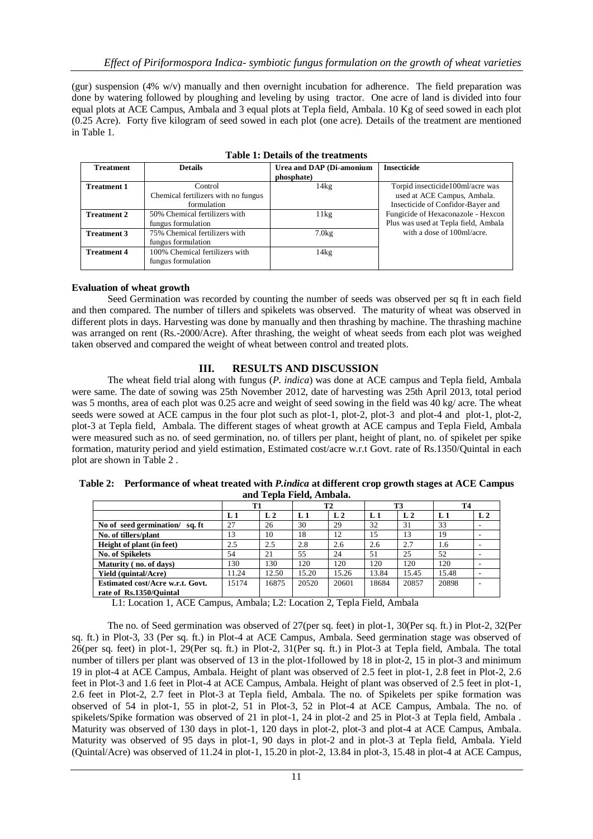(gur) suspension (4% w/v) manually and then overnight incubation for adherence. The field preparation was done by watering followed by ploughing and leveling by using tractor. One acre of land is divided into four equal plots at ACE Campus, Ambala and 3 equal plots at Tepla field, Ambala. 10 Kg of seed sowed in each plot (0.25 Acre). Forty five kilogram of seed sowed in each plot (one acre). Details of the treatment are mentioned in Table 1.

| <b>Treatment</b>   | <b>Details</b>                      | Urea and DAP (Di-amonium | <b>Insecticide</b>                   |  |  |  |  |  |
|--------------------|-------------------------------------|--------------------------|--------------------------------------|--|--|--|--|--|
|                    |                                     | phosphate)               |                                      |  |  |  |  |  |
| <b>Treatment 1</b> | Control                             | 14kg                     | Torpid insecticide100ml/acre was     |  |  |  |  |  |
|                    | Chemical fertilizers with no fungus |                          | used at ACE Campus, Ambala.          |  |  |  |  |  |
|                    | formulation                         |                          | Insecticide of Confidor-Bayer and    |  |  |  |  |  |
| <b>Treatment 2</b> | 50% Chemical fertilizers with       | 11kg                     | Fungicide of Hexaconazole - Hexcon   |  |  |  |  |  |
|                    | fungus formulation                  |                          | Plus was used at Tepla field, Ambala |  |  |  |  |  |
| <b>Treatment 3</b> | 75% Chemical fertilizers with       | 7.0kg                    | with a dose of 100ml/acre.           |  |  |  |  |  |
|                    | fungus formulation                  |                          |                                      |  |  |  |  |  |
| <b>Treatment 4</b> | 100% Chemical fertilizers with      | 14kg                     |                                      |  |  |  |  |  |
|                    | fungus formulation                  |                          |                                      |  |  |  |  |  |
|                    |                                     |                          |                                      |  |  |  |  |  |

| <b>Table 1: Details of the treatments</b> |  |  |
|-------------------------------------------|--|--|
|-------------------------------------------|--|--|

## **Evaluation of wheat growth**

Seed Germination was recorded by counting the number of seeds was observed per sq ft in each field and then compared. The number of tillers and spikelets was observed. The maturity of wheat was observed in different plots in days. Harvesting was done by manually and then thrashing by machine. The thrashing machine was arranged on rent (Rs.-2000/Acre). After thrashing, the weight of wheat seeds from each plot was weighed taken observed and compared the weight of wheat between control and treated plots.

# **III. RESULTS AND DISCUSSION**

The wheat field trial along with fungus (*P. indica*) was done at ACE campus and Tepla field, Ambala were same. The date of sowing was 25th November 2012, date of harvesting was 25th April 2013, total period was 5 months, area of each plot was 0.25 acre and weight of seed sowing in the field was 40 kg/ acre. The wheat seeds were sowed at ACE campus in the four plot such as plot-1, plot-2, plot-3 and plot-4 and plot-1, plot-2, plot-3 at Tepla field, Ambala. The different stages of wheat growth at ACE campus and Tepla Field, Ambala were measured such as no. of seed germination, no. of tillers per plant, height of plant, no. of spikelet per spike formation, maturity period and yield estimation, Estimated cost/acre w.r.t Govt. rate of Rs.1350/Quintal in each plot are shown in Table 2 .

|                          | Table 2: Performance of wheat treated with <i>P.indica</i> at different crop growth stages at ACE Campus |  |  |  |  |  |
|--------------------------|----------------------------------------------------------------------------------------------------------|--|--|--|--|--|
| and Tepla Field, Ambala. |                                                                                                          |  |  |  |  |  |

|                                   | T1    |                | <b>T2</b> |                | T3             |                | <b>T4</b> |                |
|-----------------------------------|-------|----------------|-----------|----------------|----------------|----------------|-----------|----------------|
|                                   | L1    | L <sub>2</sub> | L 1       | L <sub>2</sub> | L <sub>1</sub> | L <sub>2</sub> | $L_1$     | L <sub>2</sub> |
| No of seed germination/<br>sa. ft | 27    | 26             | 30        | 29             | 32             | 31             | 33        |                |
| No. of tillers/plant              | 13    | 10             | 18        | 12             | 15             | 13             | 19        |                |
| Height of plant (in feet)         | 2.5   | 2.5            | 2.8       | 2.6            | 2.6            | 2.7            | 1.6       |                |
| <b>No. of Spikelets</b>           | 54    | 21             | 55        | 24             | 51             | 25             | 52        |                |
| Maturity (no. of days)            | 130   | 130            | 120       | 120            | 120            | 120            | 120       |                |
| <b>Yield (quintal/Acre)</b>       | 11.24 | 12.50          | 15.20     | 15.26          | 13.84          | 15.45          | 15.48     |                |
| Estimated cost/Acre w.r.t. Govt.  | 15174 | 16875          | 20520     | 20601          | 18684          | 20857          | 20898     |                |
| rate of Rs.1350/Ouintal           |       |                |           |                |                |                |           |                |

L1: Location 1, ACE Campus, Ambala; L2: Location 2, Tepla Field, Ambala

The no. of Seed germination was observed of 27(per sq. feet) in plot-1, 30(Per sq. ft.) in Plot-2, 32(Per sq. ft.) in Plot-3, 33 (Per sq. ft.) in Plot-4 at ACE Campus, Ambala. Seed germination stage was observed of 26(per sq. feet) in plot-1, 29(Per sq. ft.) in Plot-2, 31(Per sq. ft.) in Plot-3 at Tepla field, Ambala. The total number of tillers per plant was observed of 13 in the plot-1followed by 18 in plot-2, 15 in plot-3 and minimum 19 in plot-4 at ACE Campus, Ambala. Height of plant was observed of 2.5 feet in plot-1, 2.8 feet in Plot-2, 2.6 feet in Plot-3 and 1.6 feet in Plot-4 at ACE Campus, Ambala. Height of plant was observed of 2.5 feet in plot-1, 2.6 feet in Plot-2, 2.7 feet in Plot-3 at Tepla field, Ambala. The no. of Spikelets per spike formation was observed of 54 in plot-1, 55 in plot-2, 51 in Plot-3, 52 in Plot-4 at ACE Campus, Ambala. The no. of spikelets/Spike formation was observed of 21 in plot-1, 24 in plot-2 and 25 in Plot-3 at Tepla field, Ambala . Maturity was observed of 130 days in plot-1, 120 days in plot-2, plot-3 and plot-4 at ACE Campus, Ambala. Maturity was observed of 95 days in plot-1, 90 days in plot-2 and in plot-3 at Tepla field, Ambala. Yield (Quintal/Acre) was observed of 11.24 in plot-1, 15.20 in plot-2, 13.84 in plot-3, 15.48 in plot-4 at ACE Campus,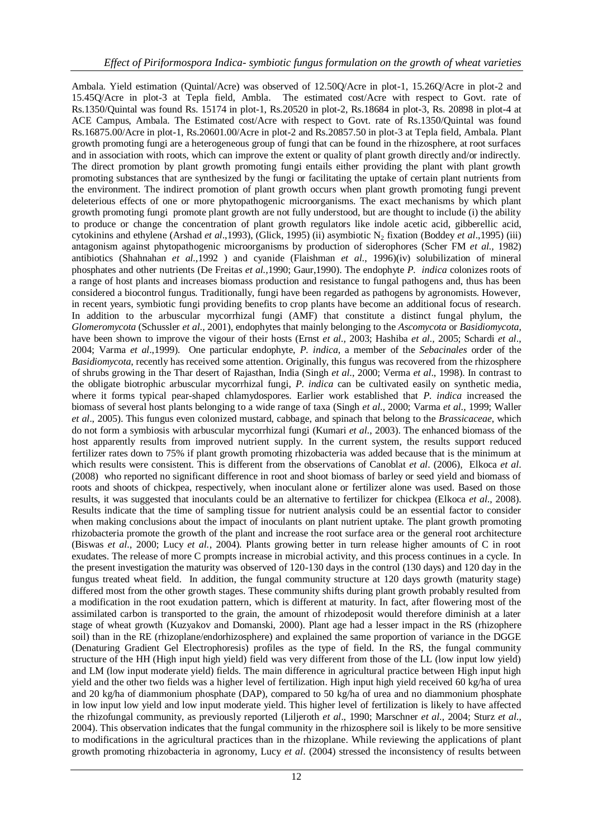Ambala. Yield estimation (Quintal/Acre) was observed of 12.50Q/Acre in plot-1, 15.26Q/Acre in plot-2 and 15.45Q/Acre in plot-3 at Tepla field, Ambla. The estimated cost/Acre with respect to Govt. rate of Rs.1350/Quintal was found Rs. 15174 in plot-1, Rs.20520 in plot-2, Rs.18684 in plot-3, Rs. 20898 in plot-4 at ACE Campus, Ambala. The Estimated cost/Acre with respect to Govt. rate of Rs.1350/Quintal was found Rs.16875.00/Acre in plot-1, Rs.20601.00/Acre in plot-2 and Rs.20857.50 in plot-3 at Tepla field, Ambala. Plant growth promoting fungi are a heterogeneous group of fungi that can be found in the rhizosphere, at root surfaces and in association with roots, which can improve the extent or quality of plant growth directly and/or indirectly. The direct promotion by plant growth promoting fungi entails either providing the plant with plant growth promoting substances that are synthesized by the fungi or facilitating the uptake of certain plant nutrients from the environment. The indirect promotion of plant growth occurs when plant growth promoting fungi prevent deleterious effects of one or more phytopathogenic microorganisms. The exact mechanisms by which plant growth promoting fungi promote plant growth are not fully understood, but are thought to include (i) the ability to produce or change the concentration of plant growth regulators like indole acetic acid, gibberellic acid, cytokinins and ethylene (Arshad *et al.*,1993), (Glick, 1995) (ii) asymbiotic N<sub>2</sub> fixation (Boddey *et al.*,1995) (iii) antagonism against phytopathogenic microorganisms by production of siderophores (Scher FM *et al.,* 1982) antibiotics (Shahnahan *et al.,*1992 ) and cyanide (Flaishman *et al*., 1996)(iv) solubilization of mineral phosphates and other nutrients (De Freitas *et al.,*1990; Gaur,1990). The endophyte *P. indica* colonizes roots of a range of host plants and increases biomass production and resistance to fungal pathogens and, thus has been considered a biocontrol fungus. Traditionally, fungi have been regarded as pathogens by agronomists. However, in recent years, symbiotic fungi providing benefits to crop plants have become an additional focus of research. In addition to the arbuscular mycorrhizal fungi (AMF) that constitute a distinct fungal phylum, the *Glomeromycota* (Schussler *et al*., 2001), endophytes that mainly belonging to the *Ascomycota* or *Basidiomycota*, have been shown to improve the vigour of their hosts (Ernst *et al.,* 2003; Hashiba *et al.,* 2005; Schardi *et al*., 2004; Varma *et al*.,1999). One particular endophyte, *P. indica*, a member of the *Sebacinales* order of the *Basidiomycota*, recently has received some attention. Originally, this fungus was recovered from the rhizosphere of shrubs growing in the Thar desert of Rajasthan, India (Singh *et al*., 2000; Verma *et al*., 1998). In contrast to the obligate biotrophic arbuscular mycorrhizal fungi, *P. indica* can be cultivated easily on synthetic media, where it forms typical pear-shaped chlamydospores. Earlier work established that *P. indica* increased the biomass of several host plants belonging to a wide range of taxa (Singh *et al*., 2000; Varma *et al*., 1999; Waller *et al*., 2005). This fungus even colonized mustard, cabbage, and spinach that belong to the *Brassicaceae*, which do not form a symbiosis with arbuscular mycorrhizal fungi (Kumari *et al*., 2003). The enhanced biomass of the host apparently results from improved nutrient supply. In the current system, the results support reduced fertilizer rates down to 75% if plant growth promoting rhizobacteria was added because that is the minimum at which results were consistent. This is different from the observations of Canoblat *et al*. (2006), Elkoca *et al*. (2008) who reported no significant difference in root and shoot biomass of barley or seed yield and biomass of roots and shoots of chickpea, respectively, when inoculant alone or fertilizer alone was used. Based on those results, it was suggested that inoculants could be an alternative to fertilizer for chickpea (Elkoca *et al*., 2008). Results indicate that the time of sampling tissue for nutrient analysis could be an essential factor to consider when making conclusions about the impact of inoculants on plant nutrient uptake. The plant growth promoting rhizobacteria promote the growth of the plant and increase the root surface area or the general root architecture (Biswas *et al.,* 2000; Lucy *et al.*, 2004). Plants growing better in turn release higher amounts of C in root exudates. The release of more C prompts increase in microbial activity, and this process continues in a cycle. In the present investigation the maturity was observed of 120-130 days in the control (130 days) and 120 day in the fungus treated wheat field. In addition, the fungal community structure at 120 days growth (maturity stage) differed most from the other growth stages. These community shifts during plant growth probably resulted from a modification in the root exudation pattern, which is different at maturity. In fact, after flowering most of the assimilated carbon is transported to the grain, the amount of rhizodeposit would therefore diminish at a later stage of wheat growth (Kuzyakov and Domanski, 2000). Plant age had a lesser impact in the RS (rhizophere soil) than in the RE (rhizoplane/endorhizosphere) and explained the same proportion of variance in the DGGE (Denaturing Gradient Gel Electrophoresis) profiles as the type of field. In the RS, the fungal community structure of the HH (High input high yield) field was very different from those of the LL (low input low yield) and LM (low input moderate yield) fields. The main difference in agricultural practice between High input high yield and the other two fields was a higher level of fertilization. High input high yield received 60 kg/ha of urea and 20 kg/ha of diammonium phosphate (DAP), compared to 50 kg/ha of urea and no diammonium phosphate in low input low yield and low input moderate yield. This higher level of fertilization is likely to have affected the rhizofungal community, as previously reported (Liljeroth *et al*., 1990; Marschner *et al*., 2004; Sturz *et al*., 2004). This observation indicates that the fungal community in the rhizosphere soil is likely to be more sensitive to modifications in the agricultural practices than in the rhizoplane. While reviewing the applications of plant growth promoting rhizobacteria in agronomy, Lucy *et al*. (2004) stressed the inconsistency of results between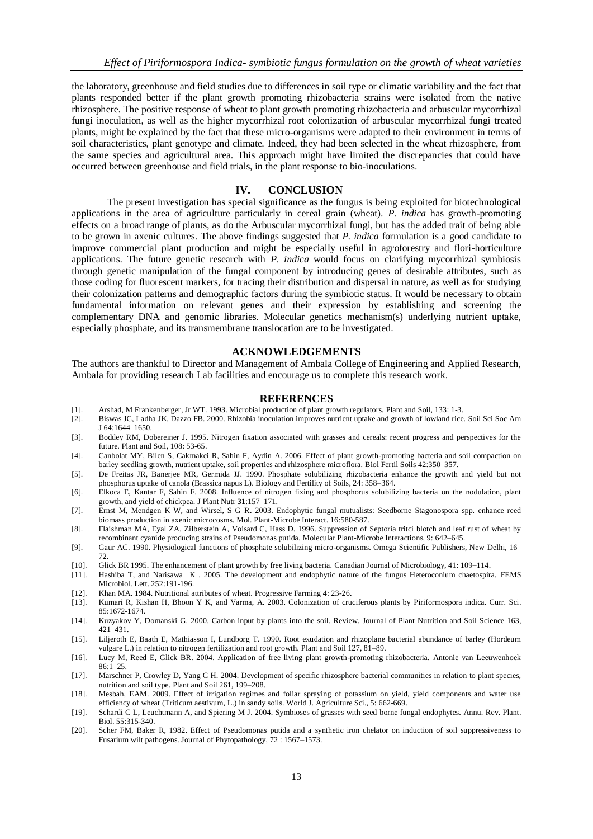the laboratory, greenhouse and field studies due to differences in soil type or climatic variability and the fact that plants responded better if the plant growth promoting rhizobacteria strains were isolated from the native rhizosphere. The positive response of wheat to plant growth promoting rhizobacteria and arbuscular mycorrhizal fungi inoculation, as well as the higher mycorrhizal root colonization of arbuscular mycorrhizal fungi treated plants, might be explained by the fact that these micro-organisms were adapted to their environment in terms of soil characteristics, plant genotype and climate. Indeed, they had been selected in the wheat rhizosphere, from the same species and agricultural area. This approach might have limited the discrepancies that could have occurred between greenhouse and field trials, in the plant response to bio-inoculations.

## **IV. CONCLUSION**

The present investigation has special significance as the fungus is being exploited for biotechnological applications in the area of agriculture particularly in cereal grain (wheat). *P. indica* has growth-promoting effects on a broad range of plants, as do the Arbuscular mycorrhizal fungi, but has the added trait of being able to be grown in axenic cultures. The above findings suggested that *P. indica* formulation is a good candidate to improve commercial plant production and might be especially useful in agroforestry and flori-horticulture applications. The future genetic research with *P*. *indica* would focus on clarifying mycorrhizal symbiosis through genetic manipulation of the fungal component by introducing genes of desirable attributes, such as those coding for fluorescent markers, for tracing their distribution and dispersal in nature, as well as for studying their colonization patterns and demographic factors during the symbiotic status. It would be necessary to obtain fundamental information on relevant genes and their expression by establishing and screening the complementary DNA and genomic libraries. Molecular genetics mechanism(s) underlying nutrient uptake, especially phosphate, and its transmembrane translocation are to be investigated.

#### **ACKNOWLEDGEMENTS**

The authors are thankful to Director and Management of Ambala College of Engineering and Applied Research, Ambala for providing research Lab facilities and encourage us to complete this research work.

#### **REFERENCES**

- [1]. Arshad, M Frankenberger, Jr WT. 1993. Microbial production of plant growth regulators. Plant and Soil, 133: 1-3.
- [2]. Biswas JC, Ladha JK, Dazzo FB. 2000. Rhizobia inoculation improves nutrient uptake and growth of lowland rice. Soil Sci Soc Am J 64:1644–1650.
- [3]. Boddey RM, Dobereiner J. 1995. Nitrogen fixation associated with grasses and cereals: recent progress and perspectives for the future. Plant and Soil, 108: 53-65.
- [4]. Canbolat MY, Bilen S, Cakmakci R, Sahin F, Aydin A. 2006. Effect of plant growth-promoting bacteria and soil compaction on barley seedling growth, nutrient uptake, soil properties and rhizosphere microflora. Biol Fertil Soils 42:350–357.
- [5]. De Freitas JR, Banerjee MR, Germida JJ. 1990. Phosphate solubilizing rhizobacteria enhance the growth and yield but not phosphorus uptake of canola (Brassica napus L). Biology and Fertility of Soils, 24: 358–364.
- [6]. Elkoca E, Kantar F, Sahin F. 2008. Influence of nitrogen fixing and phosphorus solubilizing bacteria on the nodulation, plant growth, and yield of chickpea. J Plant Nutr **31**:157–171.
- [7]. Ernst M, Mendgen K W, and Wirsel, S G R. 2003. Endophytic fungal mutualists: Seedborne Stagonospora spp. enhance reed biomass production in axenic microcosms. Mol. Plant-Microbe Interact. 16:580-587.
- [8]. Flaishman MA, Eyal ZA, Zilberstein A, Voisard C, Hass D. 1996. Suppression of Septoria tritci blotch and leaf rust of wheat by recombinant cyanide producing strains of Pseudomonas putida. Molecular Plant-Microbe Interactions, 9: 642–645.
- [9]. Gaur AC. 1990. Physiological functions of phosphate solubilizing micro-organisms. Omega Scientific Publishers, New Delhi, 16– 72.
- [10]. Glick BR 1995. The enhancement of plant growth by free living bacteria. Canadian Journal of Microbiology, 41: 109–114.
- [11]. Hashiba T, and Narisawa K . 2005. The development and endophytic nature of the fungus Heteroconium chaetospira. FEMS Microbiol. Lett. 252:191-196.
- [12]. Khan MA. 1984. Nutritional attributes of wheat. Progressive Farming 4: 23-26.
- [13]. Kumari R, Kishan H, Bhoon Y K, and Varma, A. 2003. Colonization of cruciferous plants by Piriformospora indica. Curr. Sci. 85:1672-1674.
- [14]. Kuzyakov Y, Domanski G. 2000. Carbon input by plants into the soil. Review. Journal of Plant Nutrition and Soil Science 163, 421–431.
- [15]. Liljeroth E, Baath E, Mathiasson I, Lundborg T. 1990. Root exudation and rhizoplane bacterial abundance of barley (Hordeum vulgare L.) in relation to nitrogen fertilization and root growth. Plant and Soil 127, 81-89.
- [16]. Lucy M, Reed E, Glick BR. 2004. Application of free living plant growth-promoting rhizobacteria. Antonie van Leeuwenhoek  $86:1 - 25$
- [17]. Marschner P, Crowley D, Yang C H. 2004. Development of specific rhizosphere bacterial communities in relation to plant species, nutrition and soil type. Plant and Soil 261, 199–208.
- [18]. Mesbah, EAM. 2009. Effect of irrigation regimes and foliar spraying of potassium on yield, yield components and water use efficiency of wheat (Triticum aestivum, L.) in sandy soils. World J. Agriculture Sci., 5: 662-669.
- [19]. Schardi C L, Leuchtmann A, and Spiering M J. 2004. Symbioses of grasses with seed borne fungal endophytes. Annu. Rev. Plant. Biol. 55:315-340.
- [20]. Scher FM, Baker R, 1982. Effect of Pseudomonas putida and a synthetic iron chelator on induction of soil suppressiveness to Fusarium wilt pathogens. Journal of Phytopathology, 72 : 1567–1573.